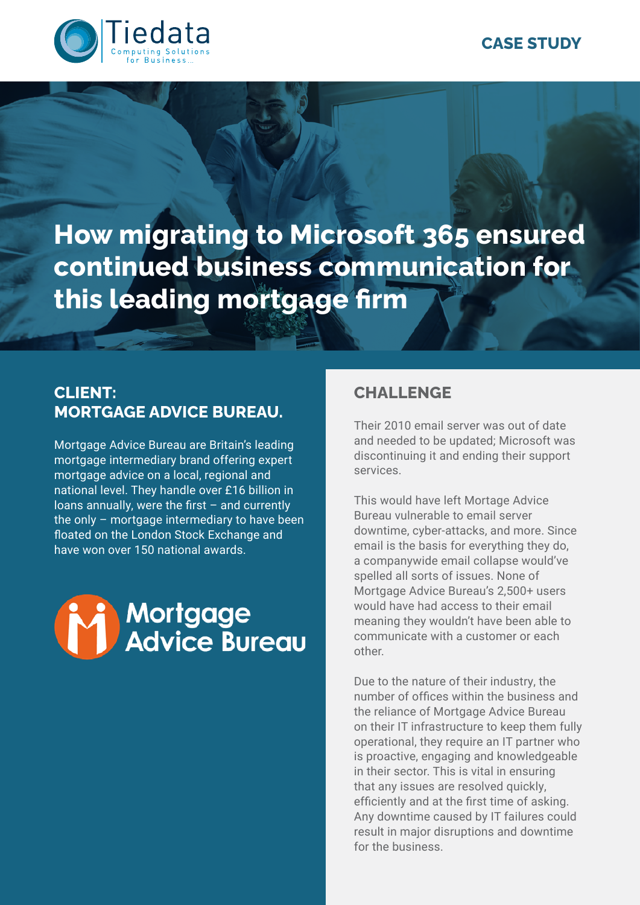

**How migrating to Microsoft 365 ensured continued business communication for this leading mortgage firm** 

#### **CLIENT: MORTGAGE ADVICE BUREAU.**

Mortgage Advice Bureau are Britain's leading mortgage intermediary brand offering expert mortgage advice on a local, regional and national level. They handle over £16 billion in loans annually, were the first – and currently the only – mortgage intermediary to have been floated on the London Stock Exchange and have won over 150 national awards.



# **CHALLENGE**

Their 2010 email server was out of date and needed to be updated; Microsoft was discontinuing it and ending their support services.

This would have left Mortage Advice Bureau vulnerable to email server downtime, cyber-attacks, and more. Since email is the basis for everything they do, a companywide email collapse would've spelled all sorts of issues. None of Mortgage Advice Bureau's 2,500+ users would have had access to their email meaning they wouldn't have been able to communicate with a customer or each other.

Due to the nature of their industry, the number of offices within the business and the reliance of Mortgage Advice Bureau on their IT infrastructure to keep them fully operational, they require an IT partner who is proactive, engaging and knowledgeable in their sector. This is vital in ensuring that any issues are resolved quickly, efficiently and at the first time of asking. Any downtime caused by IT failures could result in major disruptions and downtime for the business.